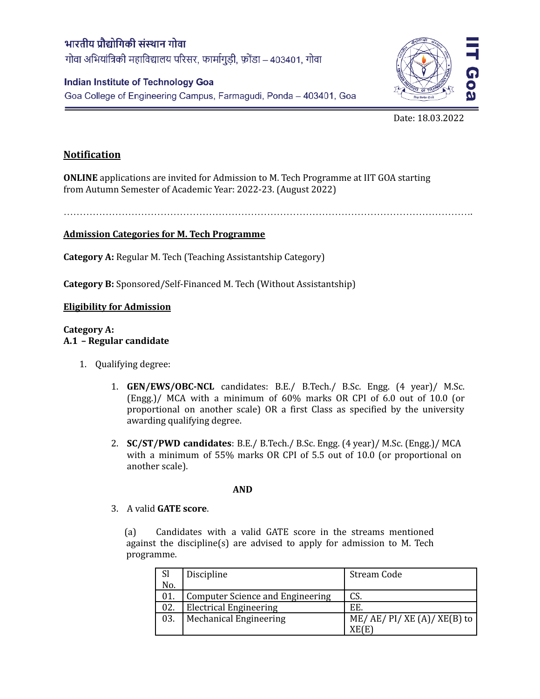# भारतीय प्रौद्योगिकी संस्थान गोवा गोवा अभियांत्रिकी महाविद्यालय परिसर, फार्मागुडी, फ़ोंडा – 403401, गोवा

## **Indian Institute of Technology Goa**

Goa College of Engineering Campus, Farmagudi, Ponda - 403401, Goa



## Date: 18.03.2022

## **Notification**

**ONLINE** applications are invited for Admission to M. Tech Programme at IIT GOA starting from Autumn Semester of Academic Year: 2022-23. (August 2022)

……………………………………………………………………………………………………………….

## **Admission Categories for M. Tech Programme**

**Category A:** Regular M. Tech (Teaching Assistantship Category)

**Category B:** Sponsored/Self-Financed M. Tech (Without Assistantship)

## **Eligibility for Admission**

#### **Category A: A.1 – Regular candidate**

- 1. Qualifying degree:
	- 1. **GEN/EWS/OBC-NCL** candidates: B.E./ B.Tech./ B.Sc. Engg. (4 year)/ M.Sc. (Engg.)/ MCA with a minimum of 60% marks OR CPI of 6.0 out of 10.0 (or proportional on another scale) OR a first Class as specified by the university awarding qualifying degree.
	- 2. **SC/ST/PWD candidates**: B.E./ B.Tech./ B.Sc. Engg. (4 year)/ M.Sc. (Engg.)/ MCA with a minimum of 55% marks OR CPI of 5.5 out of 10.0 (or proportional on another scale).

#### **AND**

### 3. A valid **GATE score**.

(a) Candidates with a valid GATE score in the streams mentioned against the discipline(s) are advised to apply for admission to M. Tech programme.

| <b>Sl</b> | Discipline                       | Stream Code               |  |
|-----------|----------------------------------|---------------------------|--|
| No.       |                                  |                           |  |
|           | Computer Science and Engineering | CS.                       |  |
| 02.       | <b>Electrical Engineering</b>    | EE.                       |  |
| 03.       | <b>Mechanical Engineering</b>    | $ME/AE/PI/XE(A)/XE(B)$ to |  |
|           |                                  | XE(E                      |  |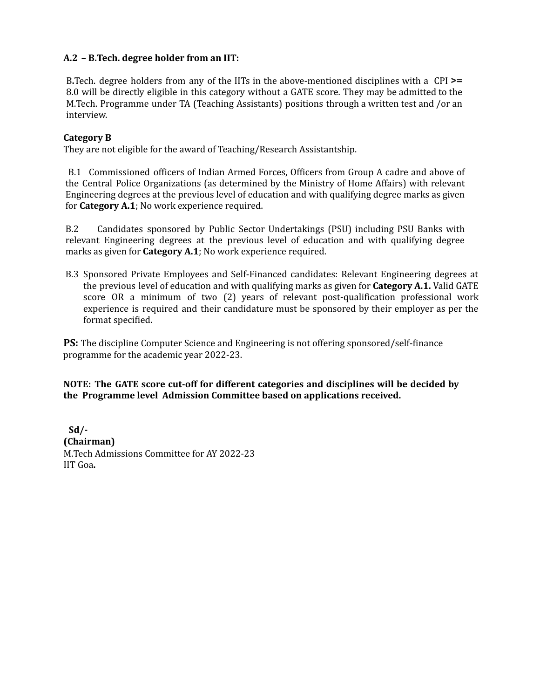## **A.2 – B.Tech. degree holder from an IIT:**

B**.**Tech. degree holders from any of the IITs in the above-mentioned disciplines with a CPI **>=** 8.0 will be directly eligible in this category without a GATE score. They may be admitted to the M.Tech. Programme under TA (Teaching Assistants) positions through a written test and /or an interview.

## **Category B**

They are not eligible for the award of Teaching/Research Assistantship.

B.1 Commissioned officers of Indian Armed Forces, Officers from Group A cadre and above of the Central Police Organizations (as determined by the Ministry of Home Affairs) with relevant Engineering degrees at the previous level of education and with qualifying degree marks as given for **Category A.1**; No work experience required.

B.2 Candidates sponsored by Public Sector Undertakings (PSU) including PSU Banks with relevant Engineering degrees at the previous level of education and with qualifying degree marks as given for **Category A.1**; No work experience required.

B.3 Sponsored Private Employees and Self-Financed candidates: Relevant Engineering degrees at the previous level of education and with qualifying marks as given for **Category A.1.** Valid GATE score OR a minimum of two (2) years of relevant post-qualification professional work experience is required and their candidature must be sponsored by their employer as per the format specified.

**PS:** The discipline Computer Science and Engineering is not offering sponsored/self-finance programme for the academic year 2022-23.

**NOTE: The GATE score cut-off for different categories and disciplines will be decided by the Programme level Admission Committee based on applications received.**

**Sd/- (Chairman)** M.Tech Admissions Committee for AY 2022-23 IIT Goa**.**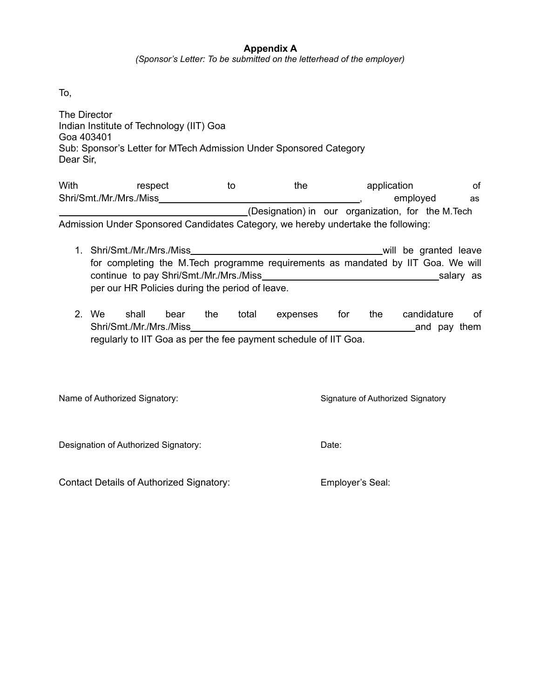## **Appendix A**

*(Sponsor's Letter: To be submitted on the letterhead of the employer)*

To,

| The Director<br>Indian Institute of Technology (IIT) Goa<br>Goa 403401<br>Sub: Sponsor's Letter for MTech Admission Under Sponsored Category<br>Dear Sir, |                                    |    |     |                         |          |  |  |
|-----------------------------------------------------------------------------------------------------------------------------------------------------------|------------------------------------|----|-----|-------------------------|----------|--|--|
| With                                                                                                                                                      | respect<br>Shri/Smt./Mr./Mrs./Miss | to | the | application<br>employed | οf<br>as |  |  |

(Designation) in our organization, for the M.Tech Admission Under Sponsored Candidates Category, we hereby undertake the following:

- 1. Shri/Smt./Mr./Mrs./Miss will be granted leave for completing the M.Tech programme requirements as mandated by IIT Goa. We will continue to pay Shri/Smt./Mr./Mrs./Miss salary as salary as per our HR Policies during the period of leave.
- 2. We shall bear the total expenses for the candidature of Shri/Smt./Mr./Mrs./Miss and pay them regularly to IIT Goa as per the fee payment schedule of IIT Goa.

Name of Authorized Signatory: Signature of Authorized Signatory Signature of Authorized Signatory

Designation of Authorized Signatory: Designation Date:

Contact Details of Authorized Signatory: Employer's Seal: